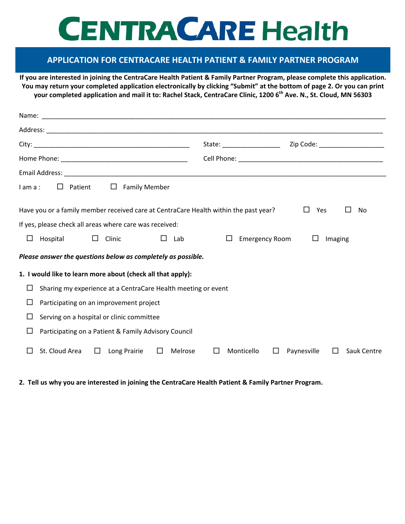## **CENTRA CARE Health**

## **APPLICATION FOR CENTRACARE HEALTH PATIENT & FAMILY PARTNER PROGRAM**

**If you are interested in joining the CentraCare Health Patient & Family Partner Program, please complete this application. You may return your completed application electronically by clicking "Submit" at the bottom of page 2. Or you can print your completed application and mail it to: Rachel Stack, CentraCare Clinic, 1200 6th Ave. N., St. Cloud, MN 56303**

|                                                                                                               | Zip Code: ______________________<br>State: __________________          |  |
|---------------------------------------------------------------------------------------------------------------|------------------------------------------------------------------------|--|
|                                                                                                               |                                                                        |  |
|                                                                                                               |                                                                        |  |
| $\Box$ Patient<br>$\overline{\phantom{a}}$ . $\overline{\phantom{a}}$<br><b>Family Member</b><br>$l$ am $a$ : |                                                                        |  |
| Have you or a family member received care at CentraCare Health within the past year?                          | $\Box$<br>Yes<br>No                                                    |  |
| If yes, please check all areas where care was received:                                                       |                                                                        |  |
| □<br>Hospital<br>$\square$ Clinic<br>$\Box$<br>Lab                                                            | <b>Emergency Room</b><br>$\Box$<br>$\Box$<br>Imaging                   |  |
| Please answer the questions below as completely as possible.                                                  |                                                                        |  |
| 1. I would like to learn more about (check all that apply):                                                   |                                                                        |  |
| Sharing my experience at a CentraCare Health meeting or event<br>⊔                                            |                                                                        |  |
| □<br>Participating on an improvement project                                                                  |                                                                        |  |
| □<br>Serving on a hospital or clinic committee                                                                |                                                                        |  |
| □<br>Participating on a Patient & Family Advisory Council                                                     |                                                                        |  |
| St. Cloud Area $\square$<br>Long Prairie<br>$\Box$<br>Melrose<br>П                                            | $\Box$<br>Monticello<br>$\Box$<br>Paynesville<br>$\Box$<br>Sauk Centre |  |

**2. Tell us why you are interested in joining the CentraCare Health Patient & Family Partner Program.**